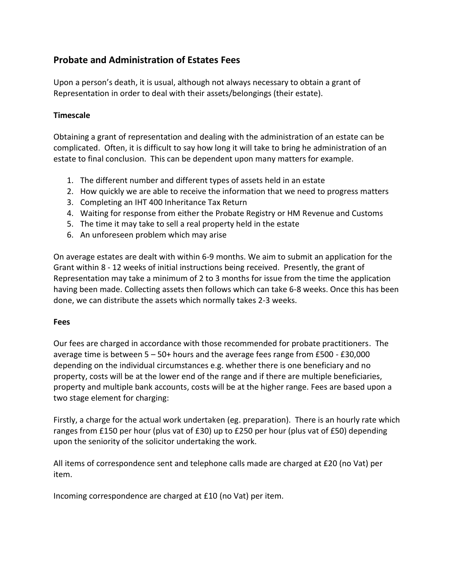## **Probate and Administration of Estates Fees**

Upon a person's death, it is usual, although not always necessary to obtain a grant of Representation in order to deal with their assets/belongings (their estate).

## **Timescale**

Obtaining a grant of representation and dealing with the administration of an estate can be complicated. Often, it is difficult to say how long it will take to bring he administration of an estate to final conclusion. This can be dependent upon many matters for example.

- 1. The different number and different types of assets held in an estate
- 2. How quickly we are able to receive the information that we need to progress matters
- 3. Completing an IHT 400 Inheritance Tax Return
- 4. Waiting for response from either the Probate Registry or HM Revenue and Customs
- 5. The time it may take to sell a real property held in the estate
- 6. An unforeseen problem which may arise

On average estates are dealt with within 6-9 months. We aim to submit an application for the Grant within 8 - 12 weeks of initial instructions being received. Presently, the grant of Representation may take a minimum of 2 to 3 months for issue from the time the application having been made. Collecting assets then follows which can take 6-8 weeks. Once this has been done, we can distribute the assets which normally takes 2-3 weeks.

## **Fees**

Our fees are charged in accordance with those recommended for probate practitioners. The average time is between 5 – 50+ hours and the average fees range from £500 - £30,000 depending on the individual circumstances e.g. whether there is one beneficiary and no property, costs will be at the lower end of the range and if there are multiple beneficiaries, property and multiple bank accounts, costs will be at the higher range. Fees are based upon a two stage element for charging:

Firstly, a charge for the actual work undertaken (eg. preparation). There is an hourly rate which ranges from £150 per hour (plus vat of £30) up to £250 per hour (plus vat of £50) depending upon the seniority of the solicitor undertaking the work.

All items of correspondence sent and telephone calls made are charged at £20 (no Vat) per item.

Incoming correspondence are charged at £10 (no Vat) per item.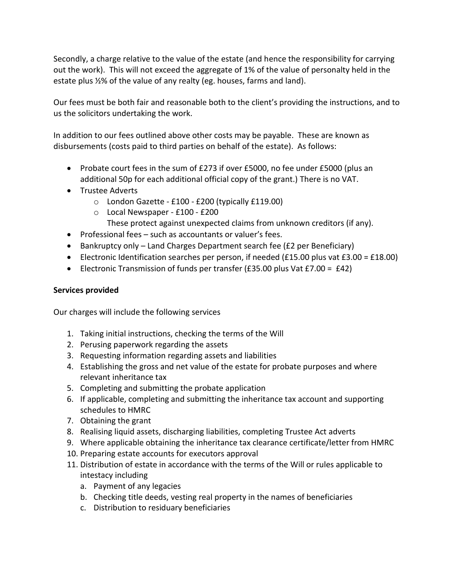Secondly, a charge relative to the value of the estate (and hence the responsibility for carrying out the work). This will not exceed the aggregate of 1% of the value of personalty held in the estate plus ½% of the value of any realty (eg. houses, farms and land).

Our fees must be both fair and reasonable both to the client's providing the instructions, and to us the solicitors undertaking the work.

In addition to our fees outlined above other costs may be payable. These are known as disbursements (costs paid to third parties on behalf of the estate). As follows:

- Probate court fees in the sum of £273 if over £5000, no fee under £5000 (plus an additional 50p for each additional official copy of the grant.) There is no VAT.
- Trustee Adverts
	- o London Gazette £100 £200 (typically £119.00)
	- o Local Newspaper £100 £200
		- These protect against unexpected claims from unknown creditors (if any).
- Professional fees such as accountants or valuer's fees.
- Bankruptcy only Land Charges Department search fee (£2 per Beneficiary)
- Electronic Identification searches per person, if needed (£15.00 plus vat £3.00 = £18.00)
- Electronic Transmission of funds per transfer (£35.00 plus Vat £7.00 = £42)

## **Services provided**

Our charges will include the following services

- 1. Taking initial instructions, checking the terms of the Will
- 2. Perusing paperwork regarding the assets
- 3. Requesting information regarding assets and liabilities
- 4. Establishing the gross and net value of the estate for probate purposes and where relevant inheritance tax
- 5. Completing and submitting the probate application
- 6. If applicable, completing and submitting the inheritance tax account and supporting schedules to HMRC
- 7. Obtaining the grant
- 8. Realising liquid assets, discharging liabilities, completing Trustee Act adverts
- 9. Where applicable obtaining the inheritance tax clearance certificate/letter from HMRC
- 10. Preparing estate accounts for executors approval
- 11. Distribution of estate in accordance with the terms of the Will or rules applicable to intestacy including
	- a. Payment of any legacies
	- b. Checking title deeds, vesting real property in the names of beneficiaries
	- c. Distribution to residuary beneficiaries